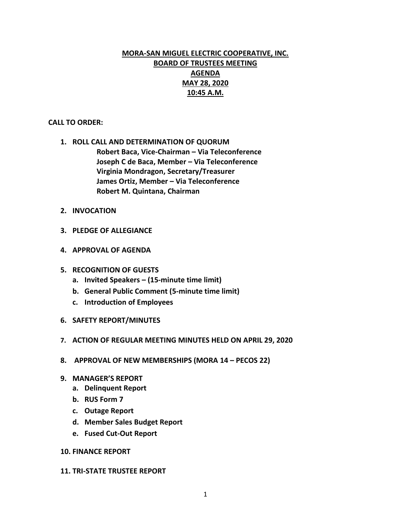# **MORA-SAN MIGUEL ELECTRIC COOPERATIVE, INC. BOARD OF TRUSTEES MEETING AGENDA MAY 28, 2020 10:45 A.M.**

# **CALL TO ORDER:**

**1. ROLL CALL AND DETERMINATION OF QUORUM Robert Baca, Vice-Chairman – Via Teleconference Joseph C de Baca, Member – Via Teleconference Virginia Mondragon, Secretary/Treasurer James Ortiz, Member – Via Teleconference Robert M. Quintana, Chairman**

- **2. INVOCATION**
- **3. PLEDGE OF ALLEGIANCE**
- **4. APPROVAL OF AGENDA**
- **5. RECOGNITION OF GUESTS**
	- **a. Invited Speakers – (15-minute time limit)**
	- **b. General Public Comment (5-minute time limit)**
	- **c. Introduction of Employees**
- **6. SAFETY REPORT/MINUTES**
- **7. ACTION OF REGULAR MEETING MINUTES HELD ON APRIL 29, 2020**
- **8. APPROVAL OF NEW MEMBERSHIPS (MORA 14 – PECOS 22)**
- **9. MANAGER'S REPORT**
	- **a. Delinquent Report**
	- **b. RUS Form 7**
	- **c. Outage Report**
	- **d. Member Sales Budget Report**
	- **e. Fused Cut-Out Report**

#### **10. FINANCE REPORT**

#### **11. TRI-STATE TRUSTEE REPORT**